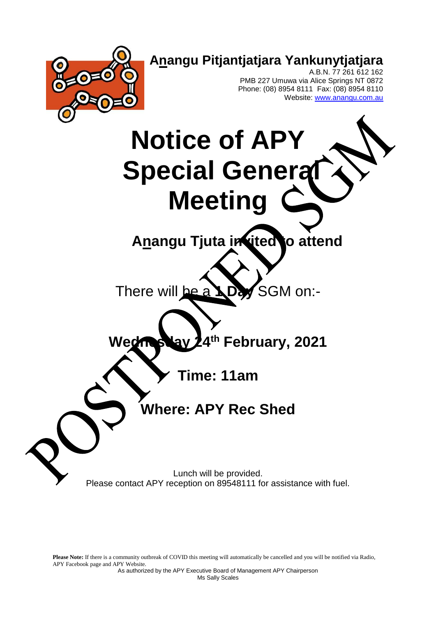

Please Note: If there is a community outbreak of COVID this meeting will automatically be cancelled and you will be notified via Radio, APY Facebook page and APY Website.

> As authorized by the APY Executive Board of Management APY Chairperson Ms Sally Scales